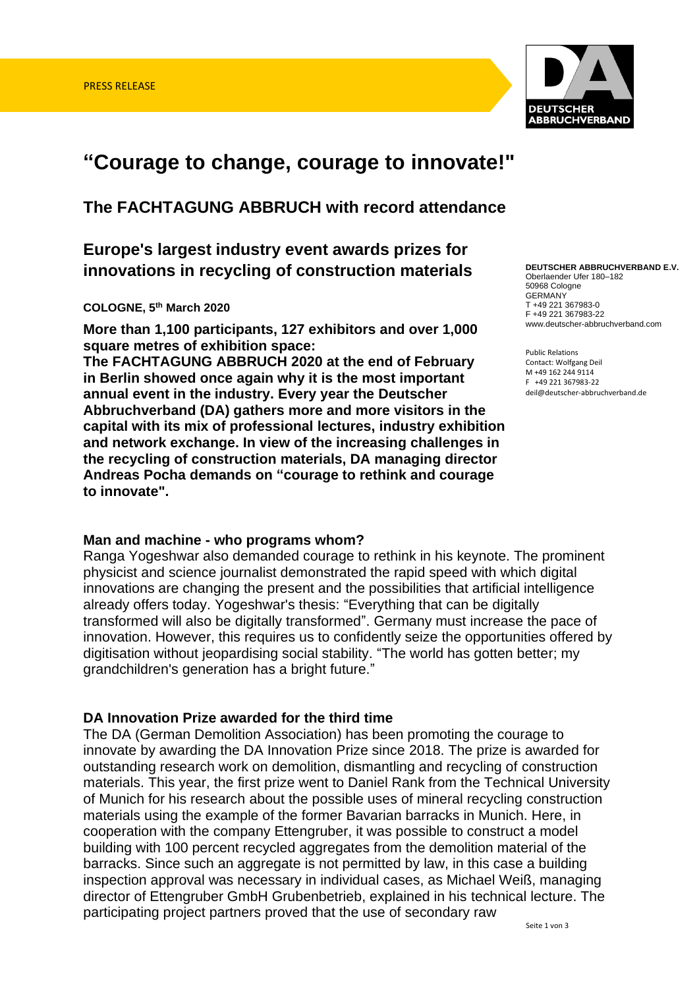

# **"Courage to change, courage to innovate!"**

**The FACHTAGUNG ABBRUCH with record attendance**

# **Europe's largest industry event awards prizes for innovations in recycling of construction materials**

#### **COLOGNE, 5 th March 2020**

**More than 1,100 participants, 127 exhibitors and over 1,000 square metres of exhibition space:** 

**The FACHTAGUNG ABBRUCH 2020 at the end of February in Berlin showed once again why it is the most important annual event in the industry. Every year the Deutscher Abbruchverband (DA) gathers more and more visitors in the capital with its mix of professional lectures, industry exhibition and network exchange. In view of the increasing challenges in the recycling of construction materials, DA managing director Andreas Pocha demands on "courage to rethink and courage to innovate".**

#### **Man and machine - who programs whom?**

Ranga Yogeshwar also demanded courage to rethink in his keynote. The prominent physicist and science journalist demonstrated the rapid speed with which digital innovations are changing the present and the possibilities that artificial intelligence already offers today. Yogeshwar's thesis: "Everything that can be digitally transformed will also be digitally transformed". Germany must increase the pace of innovation. However, this requires us to confidently seize the opportunities offered by digitisation without jeopardising social stability. "The world has gotten better; my grandchildren's generation has a bright future."

#### **DA Innovation Prize awarded for the third time**

The DA (German Demolition Association) has been promoting the courage to innovate by awarding the DA Innovation Prize since 2018. The prize is awarded for outstanding research work on demolition, dismantling and recycling of construction materials. This year, the first prize went to Daniel Rank from the Technical University of Munich for his research about the possible uses of mineral recycling construction materials using the example of the former Bavarian barracks in Munich. Here, in cooperation with the company Ettengruber, it was possible to construct a model building with 100 percent recycled aggregates from the demolition material of the barracks. Since such an aggregate is not permitted by law, in this case a building inspection approval was necessary in individual cases, as Michael Weiß, managing director of Ettengruber GmbH Grubenbetrieb, explained in his technical lecture. The participating project partners proved that the use of secondary raw

**DEUTSCHER ABBRUCHVERBAND E.V.**  Oberlaender Ufer 180–182 50968 Cologne GERMANY T +49 221 367983-0 F +49 221 367983-22 www.deutscher-abbruchverband.com

Public Relations Contact: Wolfgang Deil M +49 162 244 9114 F +49 221 367983-22 deil@deutscher-abbruchverband.de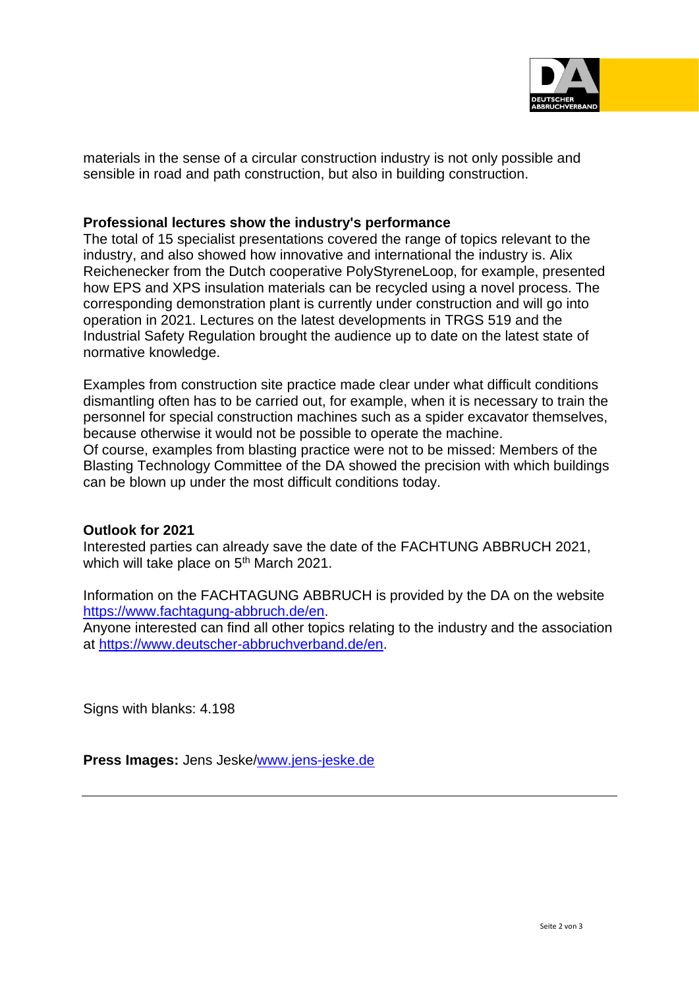

materials in the sense of a circular construction industry is not only possible and sensible in road and path construction, but also in building construction.

#### **Professional lectures show the industry's performance**

The total of 15 specialist presentations covered the range of topics relevant to the industry, and also showed how innovative and international the industry is. Alix Reichenecker from the Dutch cooperative PolyStyreneLoop, for example, presented how EPS and XPS insulation materials can be recycled using a novel process. The corresponding demonstration plant is currently under construction and will go into operation in 2021. Lectures on the latest developments in TRGS 519 and the Industrial Safety Regulation brought the audience up to date on the latest state of normative knowledge.

Examples from construction site practice made clear under what difficult conditions dismantling often has to be carried out, for example, when it is necessary to train the personnel for special construction machines such as a spider excavator themselves, because otherwise it would not be possible to operate the machine.

Of course, examples from blasting practice were not to be missed: Members of the Blasting Technology Committee of the DA showed the precision with which buildings can be blown up under the most difficult conditions today.

#### **Outlook for 2021**

Interested parties can already save the date of the FACHTUNG ABBRUCH 2021, which will take place on 5<sup>th</sup> March 2021.

Information on the FACHTAGUNG ABBRUCH is provided by the DA on the website <https://www.fachtagung-abbruch.de/>en.

Anyone interested can find all other topics relating to the industry and the association at<https://www.deutscher-abbruchverband.de/>en.

Signs with blanks: 4.198

**Press Images:** Jens Jeske[/www.jens-jeske.de](http://www.jens-jeske.de/)